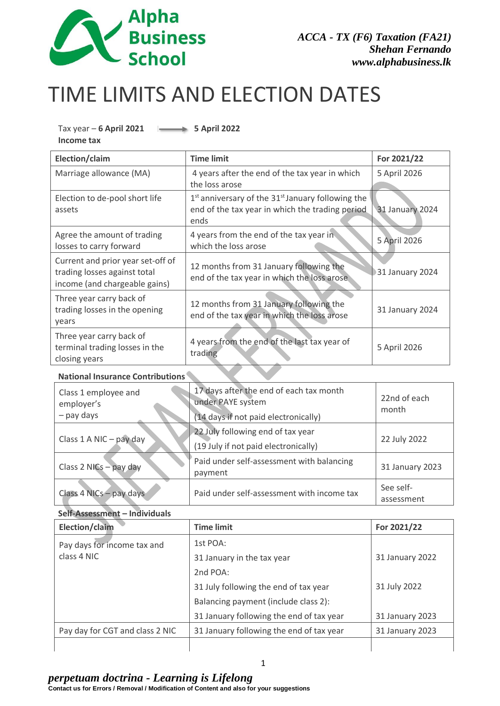

# TIME LIMITS AND ELECTION DATES

# Tax year – **6 April 2021** 5 April 2022

| Income tax |  |
|------------|--|
|------------|--|

| Election/claim                                                                                     | <b>Time limit</b>                                                                                                 | For 2021/22     |
|----------------------------------------------------------------------------------------------------|-------------------------------------------------------------------------------------------------------------------|-----------------|
| Marriage allowance (MA)                                                                            | 4 years after the end of the tax year in which<br>the loss arose                                                  | 5 April 2026    |
| Election to de-pool short life<br>assets                                                           | $1st$ anniversary of the 31 $st$ January following the<br>end of the tax year in which the trading period<br>ends | 31 January 2024 |
| Agree the amount of trading<br>losses to carry forward                                             | 4 years from the end of the tax year in<br>which the loss arose                                                   | 5 April 2026    |
| Current and prior year set-off of<br>trading losses against total<br>income (and chargeable gains) | 12 months from 31 January following the<br>end of the tax year in which the loss arose                            | 31 January 2024 |
| Three year carry back of<br>trading losses in the opening<br>years                                 | 12 months from 31 January following the<br>end of the tax year in which the loss arose                            | 31 January 2024 |
| Three year carry back of<br>terminal trading losses in the<br>closing years                        | 4 years from the end of the last tax year of<br>trading                                                           | 5 April 2026    |

#### **National Insurance Contributions**

| Class 1 employee and<br>employer's<br>- pay days | 17 days after the end of each tax month<br>under PAYE system<br>(14 days if not paid electronically) | 22nd of each<br>month   |
|--------------------------------------------------|------------------------------------------------------------------------------------------------------|-------------------------|
| Class 1 A NIC - pay day                          | 22 July following end of tax year<br>(19 July if not paid electronically)                            | 22 July 2022            |
| Class 2 NICs - pay day                           | Paid under self-assessment with balancing<br>payment                                                 | 31 January 2023         |
| Class 4 NICs - pay days                          | Paid under self-assessment with income tax                                                           | See self-<br>assessment |

#### **Self-Assessment – Individuals**

| Election/claim                  | <b>Time limit</b>                        | For 2021/22     |
|---------------------------------|------------------------------------------|-----------------|
| Pay days for income tax and     | 1st $POA:$                               |                 |
| class 4 NIC                     | 31 January in the tax year               | 31 January 2022 |
|                                 | 2nd $POA$ :                              |                 |
|                                 | 31 July following the end of tax year    | 31 July 2022    |
|                                 | Balancing payment (include class 2):     |                 |
|                                 | 31 January following the end of tax year | 31 January 2023 |
| Pay day for CGT and class 2 NIC | 31 January following the end of tax year | 31 January 2023 |
|                                 |                                          |                 |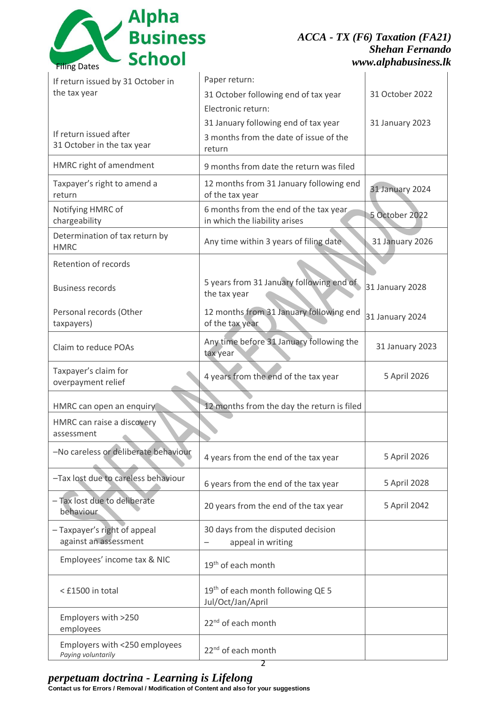

## *ACCA - TX (F6) Taxation (FA21) Shehan Fernando www.alphabusiness.lk*

| If return issued by 31 October in                     | Paper return:                                                                  |                 |
|-------------------------------------------------------|--------------------------------------------------------------------------------|-----------------|
| the tax year                                          | 31 October following end of tax year                                           | 31 October 2022 |
|                                                       | Electronic return:                                                             |                 |
| If return issued after                                | 31 January following end of tax year<br>3 months from the date of issue of the | 31 January 2023 |
| 31 October in the tax year                            | return                                                                         |                 |
| HMRC right of amendment                               | 9 months from date the return was filed                                        |                 |
| Taxpayer's right to amend a<br>return                 | 12 months from 31 January following end<br>of the tax year                     | 31 January 2024 |
| Notifying HMRC of<br>chargeability                    | 6 months from the end of the tax year<br>in which the liability arises         | 5 October 2022  |
| Determination of tax return by<br><b>HMRC</b>         | Any time within 3 years of filing date                                         | 31 January 2026 |
| Retention of records                                  |                                                                                |                 |
| <b>Business records</b>                               | 5 years from 31 January following end of<br>the tax year                       | 31 January 2028 |
| Personal records (Other<br>taxpayers)                 | 12 months from 31 January following end<br>of the tax year                     | 31 January 2024 |
| Claim to reduce POAs                                  | Any time before 31 January following the<br>tax year                           | 31 January 2023 |
| Taxpayer's claim for<br>overpayment relief            | 4 years from the end of the tax year                                           | 5 April 2026    |
| HMRC can open an enquiry                              | 12 months from the day the return is filed                                     |                 |
| HMRC can raise a discovery<br>assessment              |                                                                                |                 |
| -No careless or deliberate behaviour                  | 4 years from the end of the tax year                                           | 5 April 2026    |
| -Tax lost due to careless behaviour                   | 6 years from the end of the tax year                                           | 5 April 2028    |
| - Tax lost due to deliberate<br>behaviour             | 20 years from the end of the tax year                                          | 5 April 2042    |
| - Taxpayer's right of appeal<br>against an assessment | 30 days from the disputed decision<br>appeal in writing                        |                 |
| Employees' income tax & NIC                           | 19 <sup>th</sup> of each month                                                 |                 |
| < £1500 in total                                      | 19 <sup>th</sup> of each month following QE 5<br>Jul/Oct/Jan/April             |                 |
| Employers with >250<br>employees                      | 22 <sup>nd</sup> of each month                                                 |                 |
| Employers with <250 employees<br>Paying voluntarily   | 22 <sup>nd</sup> of each month                                                 |                 |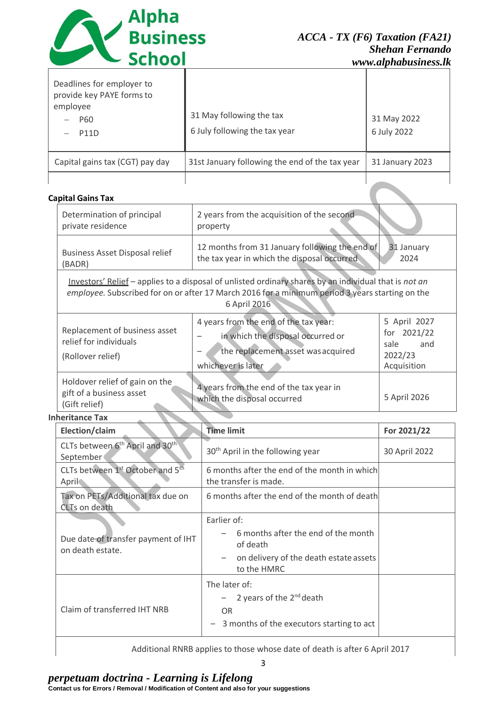

| Deadlines for employer to<br>provide key PAYE forms to<br>employee<br>P60<br><b>P11D</b> | 31 May following the tax<br>6 July following the tax year | 31 May 2022<br>6 July 2022 |
|------------------------------------------------------------------------------------------|-----------------------------------------------------------|----------------------------|
| Capital gains tax (CGT) pay day                                                          | 31st January following the end of the tax year            | 31 January 2023            |
|                                                                                          |                                                           |                            |

#### **Capital Gains Tax**

| Determination of principal<br>private residence                                                                                                                                                                          | 2 years from the acquisition of the second<br>property                                                                                 |                                                                      |
|--------------------------------------------------------------------------------------------------------------------------------------------------------------------------------------------------------------------------|----------------------------------------------------------------------------------------------------------------------------------------|----------------------------------------------------------------------|
| <b>Business Asset Disposal relief</b><br>(BADR)                                                                                                                                                                          | 12 months from 31 January following the end of<br>the tax year in which the disposal occurred                                          | 31 January<br>2024                                                   |
| Investors' Relief - applies to a disposal of unlisted ordinary shares by an individual that is not an<br>employee. Subscribed for on or after 17 March 2016 for a minimum period 3 years starting on the<br>6 April 2016 |                                                                                                                                        |                                                                      |
| Replacement of business asset<br>relief for individuals<br>(Rollover relief)                                                                                                                                             | 4 years from the end of the tax year:<br>in which the disposal occurred or<br>the replacement asset was acquired<br>whichever is later | 5 April 2027<br>for 2021/22<br>and<br>sale<br>2022/23<br>Acquisition |
| Holdover relief of gain on the<br>gift of a business asset<br>(Gift relief)                                                                                                                                              | 4 years from the end of the tax year in<br>which the disposal occurred                                                                 | 5 April 2026                                                         |
| <b>Inheritance Tax</b>                                                                                                                                                                                                   |                                                                                                                                        |                                                                      |
|                                                                                                                                                                                                                          |                                                                                                                                        |                                                                      |

| Election/claim                                                       | <b>Time limit</b>                                                                                                                                   | For 2021/22   |
|----------------------------------------------------------------------|-----------------------------------------------------------------------------------------------------------------------------------------------------|---------------|
| CLTs between 6 <sup>th</sup> April and 30 <sup>th</sup><br>September | 30 <sup>th</sup> April in the following year                                                                                                        | 30 April 2022 |
| CLTs between 1 <sup>st</sup> October and 5 <sup>th</sup><br>April    | 6 months after the end of the month in which<br>the transfer is made.                                                                               |               |
| Tax on PETs/Additional tax due on<br>CLTs on death                   | 6 months after the end of the month of death                                                                                                        |               |
| Due date of transfer payment of IHT<br>on death estate.              | Earlier of:<br>6 months after the end of the month<br>of death<br>on delivery of the death estate assets<br>$\overline{\phantom{m}}$<br>to the HMRC |               |
| Claim of transferred IHT NRB                                         | The later of:<br>$-$ 2 years of the 2 <sup>nd</sup> death<br><b>OR</b><br>3 months of the executors starting to act                                 |               |

Additional RNRB applies to those whose date of death is after 6 April 2017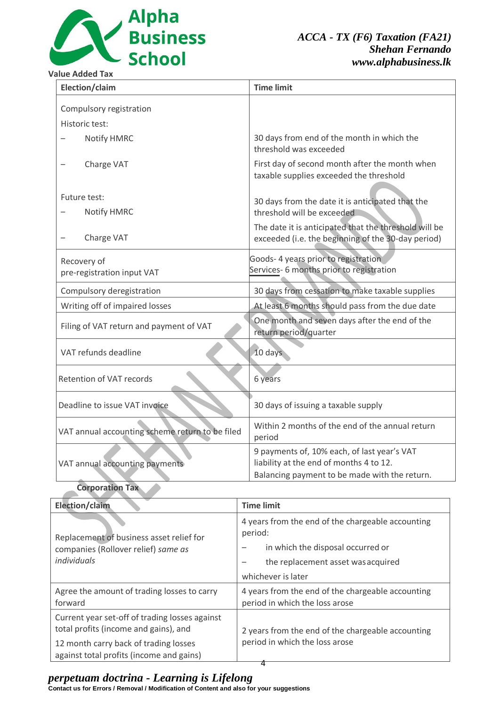

*ACCA - TX (F6) Taxation (FA21) Shehan Fernando www.alphabusiness.lk*

#### **Value Added Tax**

| Election/claim                                  | <b>Time limit</b>                                                                                                                       |
|-------------------------------------------------|-----------------------------------------------------------------------------------------------------------------------------------------|
| Compulsory registration                         |                                                                                                                                         |
| Historic test:                                  |                                                                                                                                         |
| Notify HMRC                                     | 30 days from end of the month in which the<br>threshold was exceeded                                                                    |
| Charge VAT                                      | First day of second month after the month when<br>taxable supplies exceeded the threshold                                               |
| Future test:<br>Notify HMRC                     | 30 days from the date it is anticipated that the<br>threshold will be exceeded                                                          |
| Charge VAT                                      | The date it is anticipated that the threshold will be<br>exceeded (i.e. the beginning of the 30-day period)                             |
| Recovery of<br>pre-registration input VAT       | Goods- 4 years prior to registration<br>Services-6 months prior to registration                                                         |
| Compulsory deregistration                       | 30 days from cessation to make taxable supplies                                                                                         |
| Writing off of impaired losses                  | At least 6 months should pass from the due date                                                                                         |
| Filing of VAT return and payment of VAT         | One month and seven days after the end of the<br>return period/quarter                                                                  |
| VAT refunds deadline                            | 10 days                                                                                                                                 |
| Retention of VAT records                        | 6 years                                                                                                                                 |
| Deadline to issue VAT invoice                   | 30 days of issuing a taxable supply                                                                                                     |
| VAT annual accounting scheme return to be filed | Within 2 months of the end of the annual return<br>period                                                                               |
| VAT annual accounting payments                  | 9 payments of, 10% each, of last year's VAT<br>liability at the end of months 4 to 12.<br>Balancing payment to be made with the return. |

#### **Corporation Tax**

| 4 years from the end of the chargeable accounting                                             |
|-----------------------------------------------------------------------------------------------|
| in which the disposal occurred or<br>the replacement asset was acquired<br>whichever is later |
| 4 years from the end of the chargeable accounting<br>period in which the loss arose           |
| 2 years from the end of the chargeable accounting<br>period in which the loss arose           |
|                                                                                               |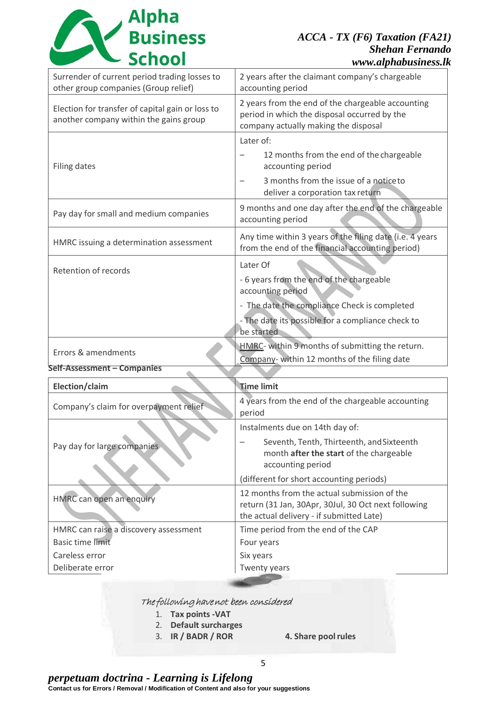Alpha<br>School

#### *ACCA - TX (F6) Taxation (FA21) Shehan Fernando www.alphabusiness.lk*

| Surrender of current period trading losses to                                              | 2 years after the claimant company's chargeable                                                                                                                                              |
|--------------------------------------------------------------------------------------------|----------------------------------------------------------------------------------------------------------------------------------------------------------------------------------------------|
| other group companies (Group relief)                                                       | accounting period                                                                                                                                                                            |
| Election for transfer of capital gain or loss to<br>another company within the gains group | 2 years from the end of the chargeable accounting<br>period in which the disposal occurred by the<br>company actually making the disposal                                                    |
| Filing dates                                                                               | Later of:<br>12 months from the end of the chargeable<br>accounting period<br>3 months from the issue of a notice to<br>deliver a corporation tax return                                     |
| Pay day for small and medium companies                                                     | 9 months and one day after the end of the chargeable<br>accounting period                                                                                                                    |
| HMRC issuing a determination assessment                                                    | Any time within 3 years of the filing date (i.e. 4 years<br>from the end of the financial accounting period)                                                                                 |
| Retention of records                                                                       | Later Of<br>- 6 years from the end of the chargeable<br>accounting period<br>- The date the compliance Check is completed<br>- The date its possible for a compliance check to<br>be started |
| Errors & amendments<br>Self-Assessment - Companies                                         | HMRC- within 9 months of submitting the return.<br>Company- within 12 months of the filing date                                                                                              |

| Election/claim                         | <b>Time limit</b>                                                                                                                              |
|----------------------------------------|------------------------------------------------------------------------------------------------------------------------------------------------|
| Company's claim for overpayment relief | 4 years from the end of the chargeable accounting<br>period                                                                                    |
|                                        | Instalments due on 14th day of:                                                                                                                |
| Pay day for large companies            | Seventh, Tenth, Thirteenth, and Sixteenth<br>month after the start of the chargeable<br>accounting period                                      |
|                                        | (different for short accounting periods)                                                                                                       |
| HMRC can open an enquiry               | 12 months from the actual submission of the<br>return (31 Jan, 30Apr, 30Jul, 30 Oct next following<br>the actual delivery - if submitted Late) |
| HMRC can raise a discovery assessment  | Time period from the end of the CAP                                                                                                            |
| Basic time limit                       | Four years                                                                                                                                     |
| Careless error                         | Six years                                                                                                                                      |
| Deliberate error                       | <b>Twenty years</b>                                                                                                                            |

### The following have not been considered

- 1. **Tax points -VAT**
- 2. **Default surcharges**
- 3. **IR / BADR / ROR 4. Share poolrules**